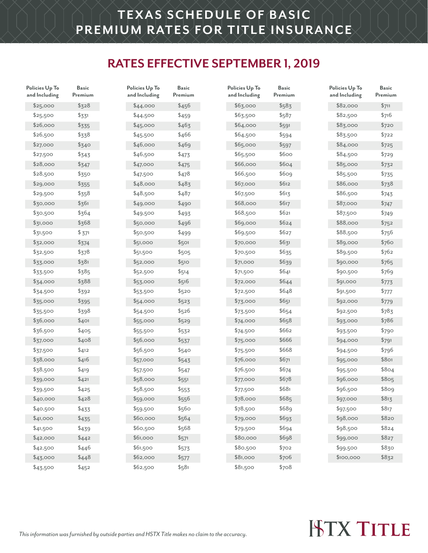### **RATES EFFECTIVE SEPTEMBER 1, 2019**

| Policies Up To<br>and Including | <b>Basic</b><br>Premium | Policies Up To<br>and Including | <b>Basic</b><br>Premium | Policies Up To<br>and Including | <b>Basic</b><br>Premium | Policies Up To<br>and Including | <b>Basic</b><br>Premium |
|---------------------------------|-------------------------|---------------------------------|-------------------------|---------------------------------|-------------------------|---------------------------------|-------------------------|
| \$25,000                        | \$328                   | \$44,000                        | \$456                   | \$6,000                         | \$583                   | \$82,000                        | \$711                   |
| \$25,500                        | \$331                   | \$44,500                        | \$459                   | \$63,500                        | \$587                   | \$82,500                        | \$716                   |
| \$26,000                        | \$335                   | \$45,000                        | \$463                   | \$64,000                        | \$591                   | \$83,000                        | \$720                   |
| \$26,500                        | \$338                   | \$45,500                        | \$466                   | \$64,500                        | \$594                   | \$83,500                        | \$722                   |
| \$27,000                        | \$340                   | \$46,000                        | \$469                   | \$65,000                        | \$597                   | \$84,000                        | \$725                   |
| \$27,500                        | \$343                   | \$46,500                        | \$473                   | \$65,500                        | \$600                   | \$84,500                        | \$729                   |
| \$28,000                        | \$347                   | \$47,000                        | \$475                   | \$66,000                        | \$604                   | \$85,000                        | \$732                   |
| \$28,500                        | \$350                   | \$47,500                        | \$478                   | \$66,500                        | \$609                   | \$85,500                        | \$735                   |
| \$29,000                        | \$355                   | \$48,000                        | \$483                   | \$67,000                        | \$612                   | \$86,000                        | \$738                   |
| \$29,500                        | \$358                   | \$48,500                        | \$487                   | \$67,500                        | \$613                   | \$86,500                        | \$743                   |
| \$30,000                        | \$361                   | \$49,000                        | \$490                   | \$68,000                        | \$617                   | \$87,000                        | \$747                   |
| \$30,500                        | \$364                   | \$49,500                        | \$493                   | \$68,500                        | \$621                   | \$87,500                        | \$749                   |
| \$31,000                        | \$368                   | \$50,000                        | \$496                   | \$69,000                        | \$624                   | \$88,000                        | \$752                   |
| \$31,500                        | \$371                   | \$50,500                        | \$499                   | \$69,500                        | \$627                   | \$88,500                        | \$756                   |
| \$32,000                        | \$374                   | \$51,000                        | \$501                   | \$70,000                        | \$631                   | \$89,000                        | \$760                   |
| \$32,500                        | \$378                   | \$51,500                        | \$505                   | \$70,500                        | \$635                   | \$89,500                        | \$762                   |
| \$33,000                        | \$381                   | \$52,000                        | \$510                   | \$71,000                        | \$639                   | \$90,000                        | \$765                   |
| \$33,500                        | \$385                   | \$52,500                        | \$514                   | \$71,500                        | \$641                   | \$90,500                        | \$769                   |
| \$34,000                        | \$388                   | \$53,000                        | \$516                   | \$72,000                        | \$644                   | \$91,000                        | \$773                   |
| \$34,500                        | \$392                   | \$53,500                        | \$520                   | \$72,500                        | \$648                   | \$91,500                        | \$777                   |
| \$35,000                        | \$395                   | \$54,000                        | \$523                   | \$73,000                        | \$651                   | \$92,000                        | \$779                   |
| \$35,500                        | \$398                   | \$54,500                        | \$526                   | \$73,500                        | \$654                   | \$92,500                        | \$783                   |
| \$36,000                        | \$401                   | \$55,000                        | \$529                   | \$74,000                        | \$658                   | \$93,000                        | \$786                   |
| \$36,500                        | \$405                   | \$55,500                        | \$532                   | \$74,500                        | \$662                   | \$93,500                        | \$790                   |
| \$37,000                        | \$408                   | \$56,000                        | \$537                   | \$75,000                        | \$666                   | \$94,000                        | \$791                   |
| \$37,500                        | \$412                   | \$56,500                        | \$540                   | \$75,500                        | \$668                   | \$94,500                        | \$796                   |
| \$38,000                        | \$416                   | \$57,000                        | \$543                   | \$76,000                        | \$671                   | \$95,000                        | \$801                   |
| \$38,500                        | \$419                   | \$57,500                        | \$547                   | \$76,500                        | \$674                   | \$95,500                        | \$804                   |
| \$39,000                        | \$421                   | \$58,000                        | \$551                   | \$77,000                        | \$678                   | \$96,000                        | \$805                   |
| \$39,500                        | \$425                   | \$58,500                        | \$553                   | \$77,500                        | \$681                   | \$96,500                        | \$809                   |
| \$40,000                        | \$428                   | \$59,000                        | \$556                   | \$78,000                        | \$685                   | \$97,000                        | \$813                   |
| \$40,500                        | \$433                   | \$59,500                        | \$560                   | \$78,500                        | \$689                   | \$97,500                        | \$817                   |
| \$41,000                        | \$435                   | \$60,000                        | \$564                   | \$79,000                        | \$693                   | \$98,000                        | \$820                   |
| \$41,500                        | \$439                   | \$60,500                        | \$568                   | \$79,500                        | \$694                   | \$98,500                        | \$824                   |
| \$42,000                        | \$442                   | \$61,000                        | \$571                   | \$80,000                        | \$698                   | \$99,000                        | \$827                   |
| \$42,500                        | \$446                   | \$61,500                        | \$573                   | \$80,500                        | \$702                   | \$99,500                        | \$830                   |
| \$43,000                        | \$448                   | \$62,000                        | \$577                   | \$81,000                        | \$706                   | \$100,000                       | \$832                   |
| \$43,500                        | \$452                   | \$62,500                        | \$581                   | \$81,500                        | \$708                   |                                 |                         |